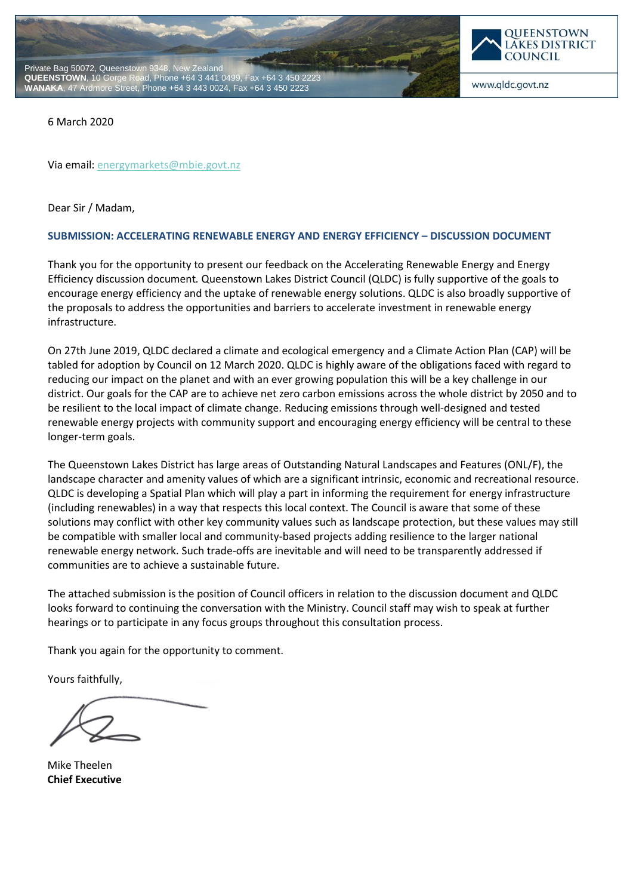



www.qldc.govt.nz

6 March 2020

Via email[: energymarkets@mbie.govt.nz](mailto:energymarkets@mbie.govt.nz)

Dear Sir / Madam,

## **SUBMISSION: ACCELERATING RENEWABLE ENERGY AND ENERGY EFFICIENCY – DISCUSSION DOCUMENT**

Thank you for the opportunity to present our feedback on the Accelerating Renewable Energy and Energy Efficiency discussion document*.* Queenstown Lakes District Council (QLDC) is fully supportive of the goals to encourage energy efficiency and the uptake of renewable energy solutions. QLDC is also broadly supportive of the proposals to address the opportunities and barriers to accelerate investment in renewable energy infrastructure.

On 27th June 2019, QLDC declared a climate and ecological emergency and a Climate Action Plan (CAP) will be tabled for adoption by Council on 12 March 2020. QLDC is highly aware of the obligations faced with regard to reducing our impact on the planet and with an ever growing population this will be a key challenge in our district. Our goals for the CAP are to achieve net zero carbon emissions across the whole district by 2050 and to be resilient to the local impact of climate change. Reducing emissions through well-designed and tested renewable energy projects with community support and encouraging energy efficiency will be central to these longer-term goals.

The Queenstown Lakes District has large areas of Outstanding Natural Landscapes and Features (ONL/F), the landscape character and amenity values of which are a significant intrinsic, economic and recreational resource. QLDC is developing a Spatial Plan which will play a part in informing the requirement for energy infrastructure (including renewables) in a way that respects this local context. The Council is aware that some of these solutions may conflict with other key community values such as landscape protection, but these values may still be compatible with smaller local and community-based projects adding resilience to the larger national renewable energy network. Such trade-offs are inevitable and will need to be transparently addressed if communities are to achieve a sustainable future.

The attached submission is the position of Council officers in relation to the discussion document and QLDC looks forward to continuing the conversation with the Ministry. Council staff may wish to speak at further hearings or to participate in any focus groups throughout this consultation process.

Thank you again for the opportunity to comment.

Yours faithfully,

Mike Theelen **Chief Executive**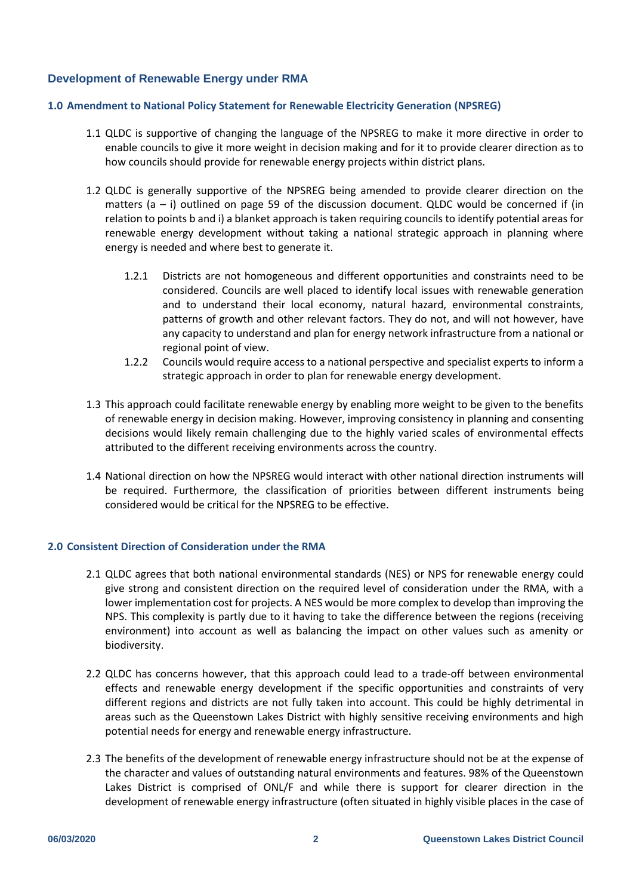# **Development of Renewable Energy under RMA**

# **1.0 Amendment to National Policy Statement for Renewable Electricity Generation (NPSREG)**

- 1.1 QLDC is supportive of changing the language of the NPSREG to make it more directive in order to enable councils to give it more weight in decision making and for it to provide clearer direction as to how councils should provide for renewable energy projects within district plans.
- 1.2 QLDC is generally supportive of the NPSREG being amended to provide clearer direction on the matters  $(a - i)$  outlined on page 59 of the discussion document. QLDC would be concerned if (in relation to points b and i) a blanket approach is taken requiring councils to identify potential areas for renewable energy development without taking a national strategic approach in planning where energy is needed and where best to generate it.
	- 1.2.1 Districts are not homogeneous and different opportunities and constraints need to be considered. Councils are well placed to identify local issues with renewable generation and to understand their local economy, natural hazard, environmental constraints, patterns of growth and other relevant factors. They do not, and will not however, have any capacity to understand and plan for energy network infrastructure from a national or regional point of view.
	- 1.2.2 Councils would require access to a national perspective and specialist experts to inform a strategic approach in order to plan for renewable energy development.
- 1.3 This approach could facilitate renewable energy by enabling more weight to be given to the benefits of renewable energy in decision making. However, improving consistency in planning and consenting decisions would likely remain challenging due to the highly varied scales of environmental effects attributed to the different receiving environments across the country.
- 1.4 National direction on how the NPSREG would interact with other national direction instruments will be required. Furthermore, the classification of priorities between different instruments being considered would be critical for the NPSREG to be effective.

#### **2.0 Consistent Direction of Consideration under the RMA**

- 2.1 QLDC agrees that both national environmental standards (NES) or NPS for renewable energy could give strong and consistent direction on the required level of consideration under the RMA, with a lower implementation cost for projects. A NES would be more complex to develop than improving the NPS. This complexity is partly due to it having to take the difference between the regions (receiving environment) into account as well as balancing the impact on other values such as amenity or biodiversity.
- 2.2 QLDC has concerns however, that this approach could lead to a trade-off between environmental effects and renewable energy development if the specific opportunities and constraints of very different regions and districts are not fully taken into account. This could be highly detrimental in areas such as the Queenstown Lakes District with highly sensitive receiving environments and high potential needs for energy and renewable energy infrastructure.
- 2.3 The benefits of the development of renewable energy infrastructure should not be at the expense of the character and values of outstanding natural environments and features. 98% of the Queenstown Lakes District is comprised of ONL/F and while there is support for clearer direction in the development of renewable energy infrastructure (often situated in highly visible places in the case of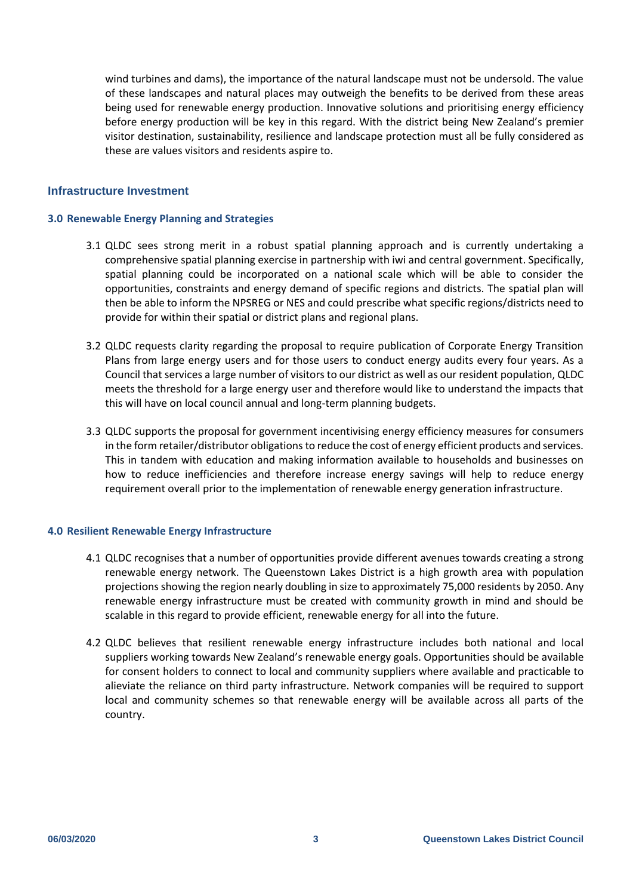wind turbines and dams), the importance of the natural landscape must not be undersold. The value of these landscapes and natural places may outweigh the benefits to be derived from these areas being used for renewable energy production. Innovative solutions and prioritising energy efficiency before energy production will be key in this regard. With the district being New Zealand's premier visitor destination, sustainability, resilience and landscape protection must all be fully considered as these are values visitors and residents aspire to.

### **Infrastructure Investment**

#### **3.0 Renewable Energy Planning and Strategies**

- 3.1 QLDC sees strong merit in a robust spatial planning approach and is currently undertaking a comprehensive spatial planning exercise in partnership with iwi and central government. Specifically, spatial planning could be incorporated on a national scale which will be able to consider the opportunities, constraints and energy demand of specific regions and districts. The spatial plan will then be able to inform the NPSREG or NES and could prescribe what specific regions/districts need to provide for within their spatial or district plans and regional plans.
- 3.2 QLDC requests clarity regarding the proposal to require publication of Corporate Energy Transition Plans from large energy users and for those users to conduct energy audits every four years. As a Council that services a large number of visitors to our district as well as our resident population, QLDC meets the threshold for a large energy user and therefore would like to understand the impacts that this will have on local council annual and long-term planning budgets.
- 3.3 QLDC supports the proposal for government incentivising energy efficiency measures for consumers in the form retailer/distributor obligations to reduce the cost of energy efficient products and services. This in tandem with education and making information available to households and businesses on how to reduce inefficiencies and therefore increase energy savings will help to reduce energy requirement overall prior to the implementation of renewable energy generation infrastructure.

#### **4.0 Resilient Renewable Energy Infrastructure**

- 4.1 QLDC recognises that a number of opportunities provide different avenues towards creating a strong renewable energy network. The Queenstown Lakes District is a high growth area with population projections showing the region nearly doubling in size to approximately 75,000 residents by 2050. Any renewable energy infrastructure must be created with community growth in mind and should be scalable in this regard to provide efficient, renewable energy for all into the future.
- 4.2 QLDC believes that resilient renewable energy infrastructure includes both national and local suppliers working towards New Zealand's renewable energy goals. Opportunities should be available for consent holders to connect to local and community suppliers where available and practicable to alieviate the reliance on third party infrastructure. Network companies will be required to support local and community schemes so that renewable energy will be available across all parts of the country.